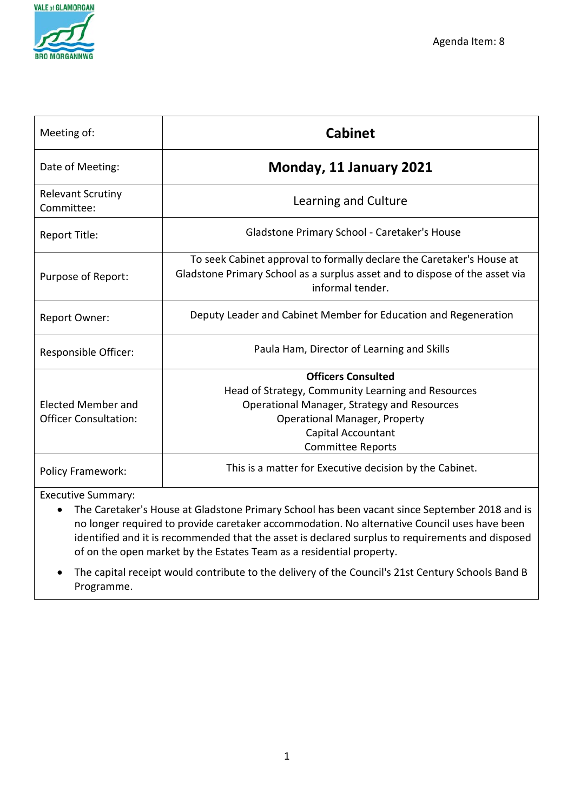

| Meeting of:                            | <b>Cabinet</b>                                                                                                                                                           |
|----------------------------------------|--------------------------------------------------------------------------------------------------------------------------------------------------------------------------|
| Date of Meeting:                       | Monday, 11 January 2021                                                                                                                                                  |
| <b>Relevant Scrutiny</b><br>Committee: | Learning and Culture                                                                                                                                                     |
| Report Title:                          | Gladstone Primary School - Caretaker's House                                                                                                                             |
| Purpose of Report:                     | To seek Cabinet approval to formally declare the Caretaker's House at<br>Gladstone Primary School as a surplus asset and to dispose of the asset via<br>informal tender. |
| <b>Report Owner:</b>                   | Deputy Leader and Cabinet Member for Education and Regeneration                                                                                                          |
| Responsible Officer:                   | Paula Ham, Director of Learning and Skills                                                                                                                               |
|                                        | <b>Officers Consulted</b>                                                                                                                                                |
|                                        | Head of Strategy, Community Learning and Resources                                                                                                                       |
| <b>Elected Member and</b>              | Operational Manager, Strategy and Resources                                                                                                                              |
| <b>Officer Consultation:</b>           | <b>Operational Manager, Property</b>                                                                                                                                     |
|                                        | Capital Accountant                                                                                                                                                       |
|                                        | <b>Committee Reports</b>                                                                                                                                                 |
| <b>Policy Framework:</b>               | This is a matter for Executive decision by the Cabinet.                                                                                                                  |

Executive Summary:

- The Caretaker's House at Gladstone Primary School has been vacant since September 2018 and is no longer required to provide caretaker accommodation. No alternative Council uses have been identified and it is recommended that the asset is declared surplus to requirements and disposed of on the open market by the Estates Team as a residential property.
- The capital receipt would contribute to the delivery of the Council's 21st Century Schools Band B Programme.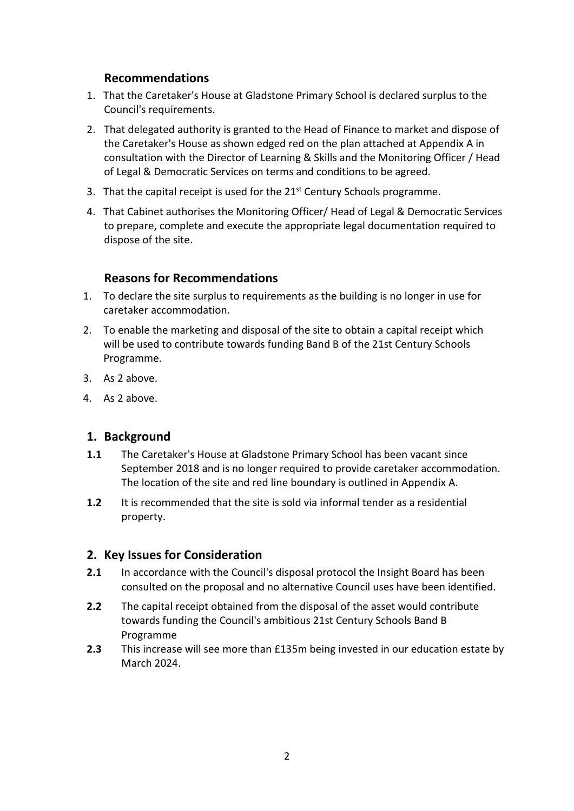# **Recommendations**

- 1. That the Caretaker's House at Gladstone Primary School is declared surplus to the Council's requirements.
- 2. That delegated authority is granted to the Head of Finance to market and dispose of the Caretaker's House as shown edged red on the plan attached at Appendix A in consultation with the Director of Learning & Skills and the Monitoring Officer / Head of Legal & Democratic Services on terms and conditions to be agreed.
- 3. That the capital receipt is used for the 21<sup>st</sup> Century Schools programme.
- 4. That Cabinet authorises the Monitoring Officer/ Head of Legal & Democratic Services to prepare, complete and execute the appropriate legal documentation required to dispose of the site.

## **Reasons for Recommendations**

- 1. To declare the site surplus to requirements as the building is no longer in use for caretaker accommodation.
- 2. To enable the marketing and disposal of the site to obtain a capital receipt which will be used to contribute towards funding Band B of the 21st Century Schools Programme.
- 3. As 2 above.
- 4. As 2 above.

### **1. Background**

- **1.1** The Caretaker's House at Gladstone Primary School has been vacant since September 2018 and is no longer required to provide caretaker accommodation. The location of the site and red line boundary is outlined in Appendix A.
- **1.2** It is recommended that the site is sold via informal tender as a residential property.

### **2. Key Issues for Consideration**

- **2.1** In accordance with the Council's disposal protocol the Insight Board has been consulted on the proposal and no alternative Council uses have been identified.
- **2.2** The capital receipt obtained from the disposal of the asset would contribute towards funding the Council's ambitious 21st Century Schools Band B Programme
- **2.3** This increase will see more than £135m being invested in our education estate by March 2024.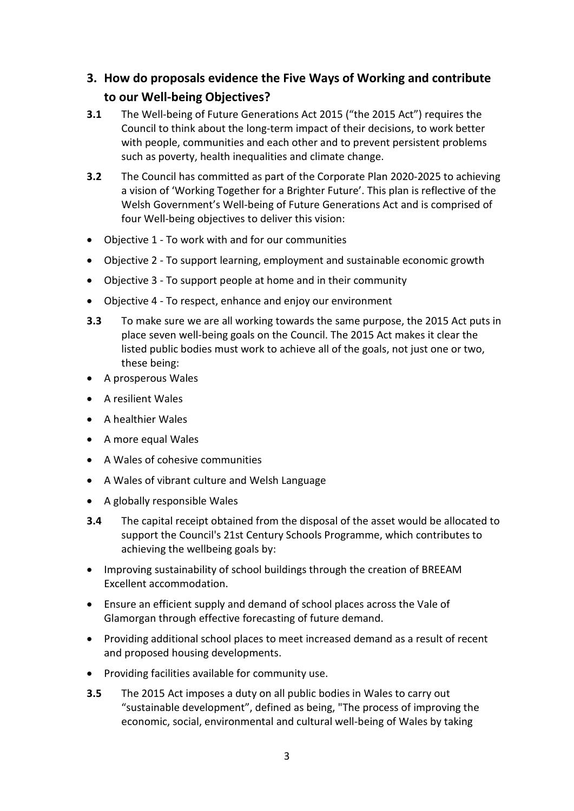# **3. How do proposals evidence the Five Ways of Working and contribute to our Well-being Objectives?**

- **3.1** The Well-being of Future Generations Act 2015 ("the 2015 Act") requires the Council to think about the long-term impact of their decisions, to work better with people, communities and each other and to prevent persistent problems such as poverty, health inequalities and climate change.
- **3.2** The Council has committed as part of the Corporate Plan 2020-2025 to achieving a vision of 'Working Together for a Brighter Future'. This plan is reflective of the Welsh Government's Well-being of Future Generations Act and is comprised of four Well-being objectives to deliver this vision:
- Objective 1 To work with and for our communities
- Objective 2 To support learning, employment and sustainable economic growth
- Objective 3 To support people at home and in their community
- Objective 4 To respect, enhance and enjoy our environment
- **3.3** To make sure we are all working towards the same purpose, the 2015 Act puts in place seven well-being goals on the Council. The 2015 Act makes it clear the listed public bodies must work to achieve all of the goals, not just one or two, these being:
- A prosperous Wales
- A resilient Wales
- A healthier Wales
- A more equal Wales
- A Wales of cohesive communities
- A Wales of vibrant culture and Welsh Language
- A globally responsible Wales
- **3.4** The capital receipt obtained from the disposal of the asset would be allocated to support the Council's 21st Century Schools Programme, which contributes to achieving the wellbeing goals by:
- Improving sustainability of school buildings through the creation of BREEAM Excellent accommodation.
- Ensure an efficient supply and demand of school places across the Vale of Glamorgan through effective forecasting of future demand.
- Providing additional school places to meet increased demand as a result of recent and proposed housing developments.
- Providing facilities available for community use.
- **3.5** The 2015 Act imposes a duty on all public bodies in Wales to carry out "sustainable development", defined as being, "The process of improving the economic, social, environmental and cultural well-being of Wales by taking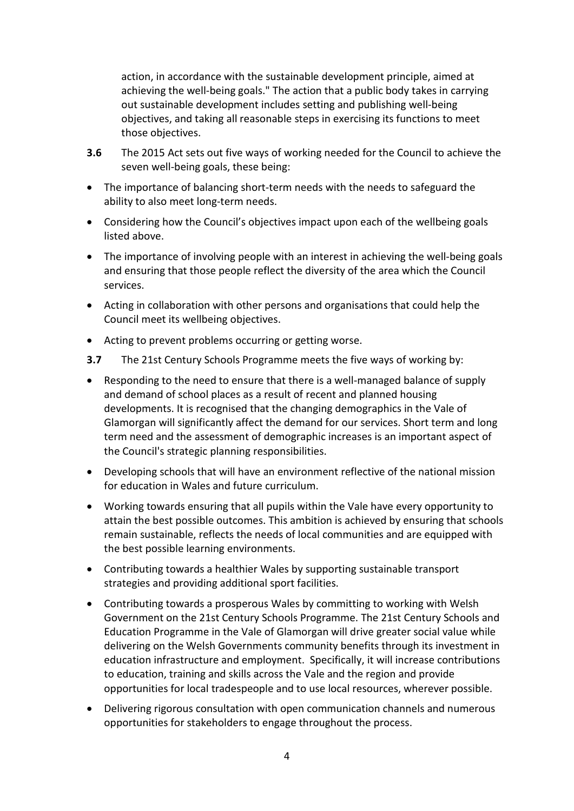action, in accordance with the sustainable development principle, aimed at achieving the well-being goals." The action that a public body takes in carrying out sustainable development includes setting and publishing well-being objectives, and taking all reasonable steps in exercising its functions to meet those objectives.

- **3.6** The 2015 Act sets out five ways of working needed for the Council to achieve the seven well-being goals, these being:
- The importance of balancing short-term needs with the needs to safeguard the ability to also meet long-term needs.
- Considering how the Council's objectives impact upon each of the wellbeing goals listed above.
- The importance of involving people with an interest in achieving the well-being goals and ensuring that those people reflect the diversity of the area which the Council services.
- Acting in collaboration with other persons and organisations that could help the Council meet its wellbeing objectives.
- Acting to prevent problems occurring or getting worse.
- **3.7** The 21st Century Schools Programme meets the five ways of working by:
- Responding to the need to ensure that there is a well-managed balance of supply and demand of school places as a result of recent and planned housing developments. It is recognised that the changing demographics in the Vale of Glamorgan will significantly affect the demand for our services. Short term and long term need and the assessment of demographic increases is an important aspect of the Council's strategic planning responsibilities.
- Developing schools that will have an environment reflective of the national mission for education in Wales and future curriculum.
- Working towards ensuring that all pupils within the Vale have every opportunity to attain the best possible outcomes. This ambition is achieved by ensuring that schools remain sustainable, reflects the needs of local communities and are equipped with the best possible learning environments.
- Contributing towards a healthier Wales by supporting sustainable transport strategies and providing additional sport facilities.
- Contributing towards a prosperous Wales by committing to working with Welsh Government on the 21st Century Schools Programme. The 21st Century Schools and Education Programme in the Vale of Glamorgan will drive greater social value while delivering on the Welsh Governments community benefits through its investment in education infrastructure and employment. Specifically, it will increase contributions to education, training and skills across the Vale and the region and provide opportunities for local tradespeople and to use local resources, wherever possible.
- Delivering rigorous consultation with open communication channels and numerous opportunities for stakeholders to engage throughout the process.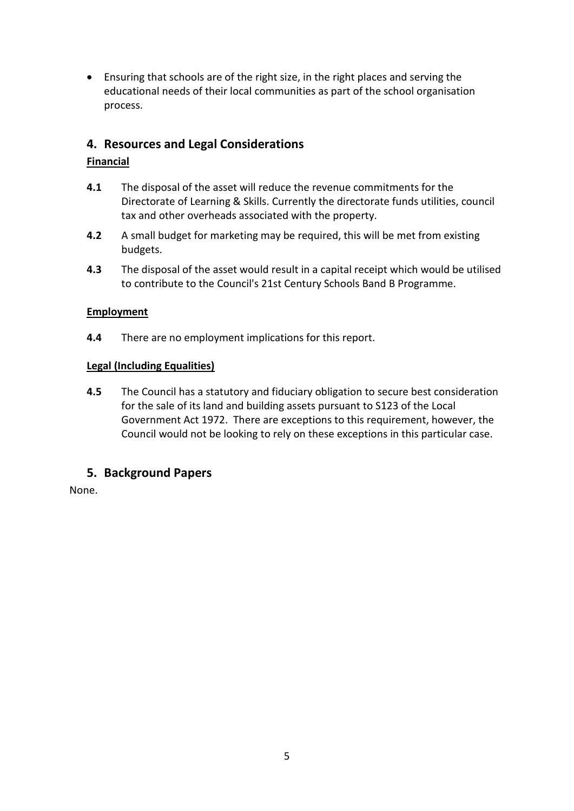• Ensuring that schools are of the right size, in the right places and serving the educational needs of their local communities as part of the school organisation process.

# **4. Resources and Legal Considerations**

## **Financial**

- **4.1** The disposal of the asset will reduce the revenue commitments for the Directorate of Learning & Skills. Currently the directorate funds utilities, council tax and other overheads associated with the property.
- **4.2** A small budget for marketing may be required, this will be met from existing budgets.
- **4.3** The disposal of the asset would result in a capital receipt which would be utilised to contribute to the Council's 21st Century Schools Band B Programme.

### **Employment**

**4.4** There are no employment implications for this report.

### **Legal (Including Equalities)**

**4.5** The Council has a statutory and fiduciary obligation to secure best consideration for the sale of its land and building assets pursuant to S123 of the Local Government Act 1972. There are exceptions to this requirement, however, the Council would not be looking to rely on these exceptions in this particular case.

# **5. Background Papers**

None.